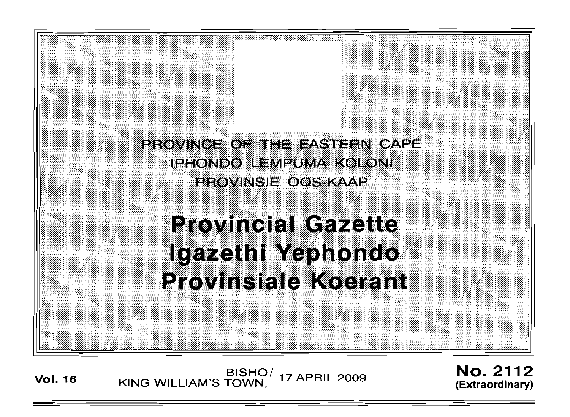

Vol. <sup>16</sup> BISHO/ KING WILLIAM'S TOWN, 17 APRIL 2009

No. 2112 (Extraordinary)